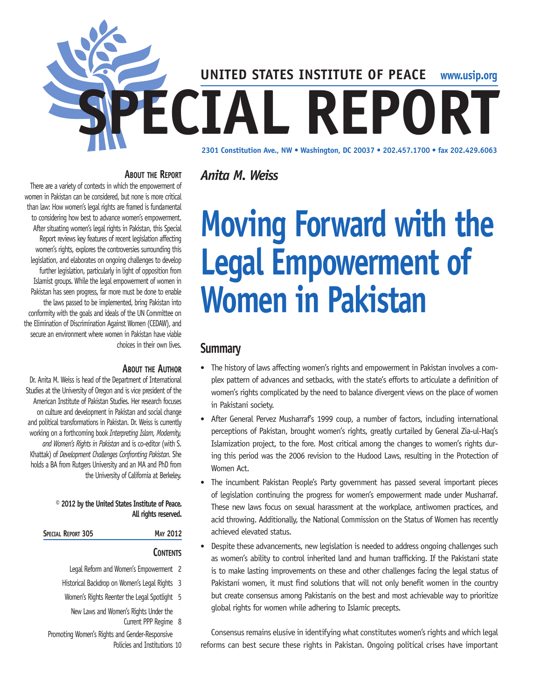

#### **About the Report** *Anita M. Weiss*

There are a variety of contexts in which the empowerment of women in Pakistan can be considered, but none is more critical than law: How women's legal rights are framed is fundamental to considering how best to advance women's empowerment. After situating women's legal rights in Pakistan, this Special Report reviews key features of recent legislation affecting women's rights, explores the controversies surrounding this legislation, and elaborates on ongoing challenges to develop further legislation, particularly in light of opposition from Islamist groups. While the legal empowerment of women in Pakistan has seen progress, far more must be done to enable the laws passed to be implemented, bring Pakistan into conformity with the goals and ideals of the UN Committee on the Elimination of Discrimination Against Women (CEDAW), and secure an environment where women in Pakistan have viable choices in their own lives.

#### **About the Author**

Dr. Anita M. Weiss is head of the Department of International Studies at the University of Oregon and is vice president of the American Institute of Pakistan Studies. Her research focuses on culture and development in Pakistan and social change and political transformations in Pakistan. Dr. Weiss is currently working on a forthcoming book *Interpreting Islam, Modernity, and Women's Rights in Pakistan* and is co-editor (with S. Khattak) of *Development Challenges Confronting Pakistan.* She holds a BA from Rutgers University and an MA and PhD from the University of California at Berkeley.

#### **© 2012 by the United States Institute of Peace. All rights reserved.**

| <b>SPECIAL REPORT 305</b> |  |
|---------------------------|--|
|                           |  |

## **CONTENTS**

**Special Report 305 May 2012**

- Legal Reform and Women's Empowerment 2
- Historical Backdrop on Women's Legal Rights 3
- Women's Rights Reenter the Legal Spotlight 5
	- New Laws and Women's Rights Under the Current PPP Regime 8
- Promoting Women's Rights and Gender-Responsive Policies and Institutions 10

# **Moving Forward with the Legal Empowerment of Women in Pakistan**

## **Summary**

- The history of laws affecting women's rights and empowerment in Pakistan involves a complex pattern of advances and setbacks, with the state's efforts to articulate a definition of women's rights complicated by the need to balance divergent views on the place of women in Pakistani society.
- After General Pervez Musharraf's 1999 coup, a number of factors, including international perceptions of Pakistan, brought women's rights, greatly curtailed by General Zia-ul-Haq's Islamization project, to the fore. Most critical among the changes to women's rights during this period was the 2006 revision to the Hudood Laws, resulting in the Protection of Women Act.
- The incumbent Pakistan People's Party government has passed several important pieces of legislation continuing the progress for women's empowerment made under Musharraf. These new laws focus on sexual harassment at the workplace, antiwomen practices, and acid throwing. Additionally, the National Commission on the Status of Women has recently achieved elevated status.
- Despite these advancements, new legislation is needed to address ongoing challenges such as women's ability to control inherited land and human trafficking. If the Pakistani state is to make lasting improvements on these and other challenges facing the legal status of Pakistani women, it must find solutions that will not only benefit women in the country but create consensus among Pakistanis on the best and most achievable way to prioritize global rights for women while adhering to Islamic precepts.

Consensus remains elusive in identifying what constitutes women's rights and which legal reforms can best secure these rights in Pakistan. Ongoing political crises have important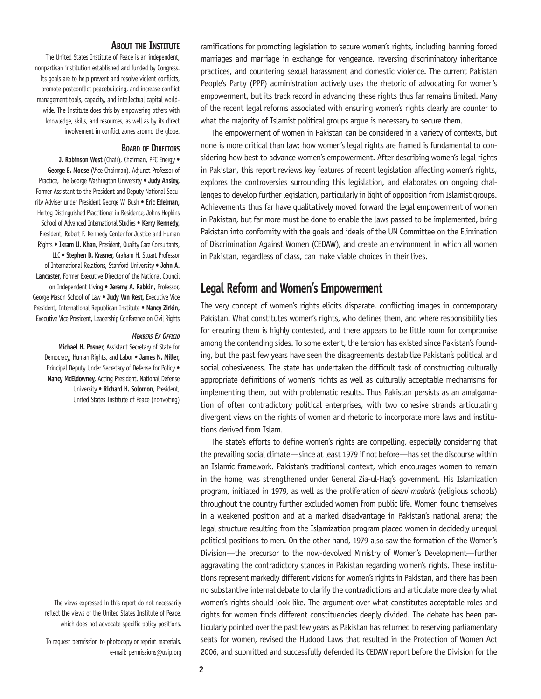#### **About the Institute**

The United States Institute of Peace is an independent, nonpartisan institution established and funded by Congress. Its goals are to help prevent and resolve violent conflicts, promote postconflict peacebuilding, and increase conflict management tools, capacity, and intellectual capital worldwide. The Institute does this by empowering others with knowledge, skills, and resources, as well as by its direct involvement in conflict zones around the globe.

#### **Board of Directors**

**J. Robinson West** (Chair), Chairman, PFC Energy • **George E. Moose** (Vice Chairman), Adjunct Professor of Practice, The George Washington University • **Judy Ansley,** Former Assistant to the President and Deputy National Security Adviser under President George W. Bush • **Eric Edelman,** Hertog Distinguished Practitioner in Residence, Johns Hopkins School of Advanced International Studies • **Kerry Kennedy,**  President, Robert F. Kennedy Center for Justice and Human Rights • **Ikram U. Khan,** President, Quality Care Consultants, LLC • **Stephen D. Krasner,** Graham H. Stuart Professor of International Relations, Stanford University • **John A. Lancaster,** Former Executive Director of the National Council on Independent Living • **Jeremy A. Rabkin,** Professor, George Mason School of Law • **Judy Van Rest,** Executive Vice President, International Republican Institute • **Nancy Zirkin,** Executive Vice President, Leadership Conference on Civil Rights

#### *Members Ex Officio*

**Michael H. Posner,** Assistant Secretary of State for Democracy, Human Rights, and Labor • **James N. Miller,**  Principal Deputy Under Secretary of Defense for Policy . **Nancy McEldowney,** Acting President, National Defense University • **Richard H. Solomon,** President, United States Institute of Peace (nonvoting)

The views expressed in this report do not necessarily reflect the views of the United States Institute of Peace, which does not advocate specific policy positions.

To request permission to photocopy or reprint materials, e-mail: permissions@usip.org ramifications for promoting legislation to secure women's rights, including banning forced marriages and marriage in exchange for vengeance, reversing discriminatory inheritance practices, and countering sexual harassment and domestic violence. The current Pakistan People's Party (PPP) administration actively uses the rhetoric of advocating for women's empowerment, but its track record in advancing these rights thus far remains limited. Many of the recent legal reforms associated with ensuring women's rights clearly are counter to what the majority of Islamist political groups argue is necessary to secure them.

The empowerment of women in Pakistan can be considered in a variety of contexts, but none is more critical than law: how women's legal rights are framed is fundamental to considering how best to advance women's empowerment. After describing women's legal rights in Pakistan, this report reviews key features of recent legislation affecting women's rights, explores the controversies surrounding this legislation, and elaborates on ongoing challenges to develop further legislation, particularly in light of opposition from Islamist groups. Achievements thus far have qualitatively moved forward the legal empowerment of women in Pakistan, but far more must be done to enable the laws passed to be implemented, bring Pakistan into conformity with the goals and ideals of the UN Committee on the Elimination of Discrimination Against Women (CEDAW), and create an environment in which all women in Pakistan, regardless of class, can make viable choices in their lives.

## **Legal Reform and Women's Empowerment**

The very concept of women's rights elicits disparate, conflicting images in contemporary Pakistan. What constitutes women's rights, who defines them, and where responsibility lies for ensuring them is highly contested, and there appears to be little room for compromise among the contending sides. To some extent, the tension has existed since Pakistan's founding, but the past few years have seen the disagreements destabilize Pakistan's political and social cohesiveness. The state has undertaken the difficult task of constructing culturally appropriate definitions of women's rights as well as culturally acceptable mechanisms for implementing them, but with problematic results. Thus Pakistan persists as an amalgamation of often contradictory political enterprises, with two cohesive strands articulating divergent views on the rights of women and rhetoric to incorporate more laws and institutions derived from Islam.

The state's efforts to define women's rights are compelling, especially considering that the prevailing social climate—since at least 1979 if not before—has set the discourse within an Islamic framework. Pakistan's traditional context, which encourages women to remain in the home, was strengthened under General Zia-ul-Haq's government. His Islamization program, initiated in 1979, as well as the proliferation of *deeni madaris* (religious schools) throughout the country further excluded women from public life. Women found themselves in a weakened position and at a marked disadvantage in Pakistan's national arena; the legal structure resulting from the Islamization program placed women in decidedly unequal political positions to men. On the other hand, 1979 also saw the formation of the Women's Division—the precursor to the now-devolved Ministry of Women's Development—further aggravating the contradictory stances in Pakistan regarding women's rights. These institutions represent markedly different visions for women's rights in Pakistan, and there has been no substantive internal debate to clarify the contradictions and articulate more clearly what women's rights should look like. The argument over what constitutes acceptable roles and rights for women finds different constituencies deeply divided. The debate has been particularly pointed over the past few years as Pakistan has returned to reserving parliamentary seats for women, revised the Hudood Laws that resulted in the Protection of Women Act 2006, and submitted and successfully defended its CEDAW report before the Division for the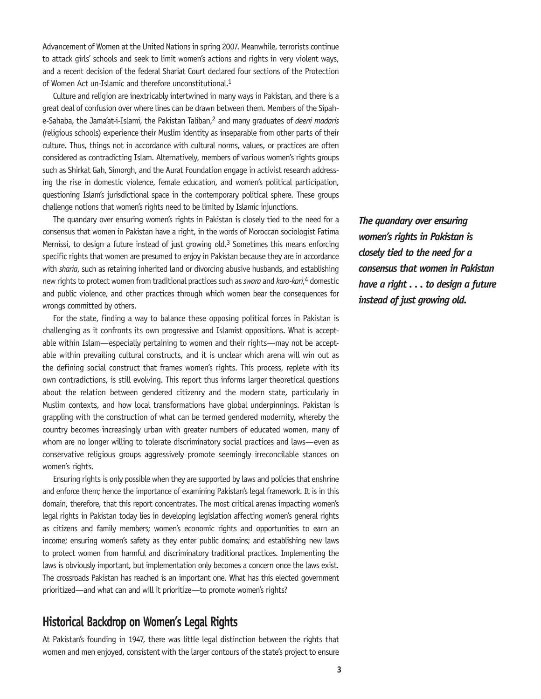Advancement of Women at the United Nations in spring 2007. Meanwhile, terrorists continue to attack girls' schools and seek to limit women's actions and rights in very violent ways, and a recent decision of the federal Shariat Court declared four sections of the Protection of Women Act un-Islamic and therefore unconstitutional.<sup>1</sup>

Culture and religion are inextricably intertwined in many ways in Pakistan, and there is a great deal of confusion over where lines can be drawn between them. Members of the Sipahe-Sahaba, the Jama'at-i-Islami, the Pakistan Taliban,2 and many graduates of *deeni madaris*  (religious schools) experience their Muslim identity as inseparable from other parts of their culture. Thus, things not in accordance with cultural norms, values, or practices are often considered as contradicting Islam. Alternatively, members of various women's rights groups such as Shirkat Gah, Simorgh, and the Aurat Foundation engage in activist research addressing the rise in domestic violence, female education, and women's political participation, questioning Islam's jurisdictional space in the contemporary political sphere. These groups challenge notions that women's rights need to be limited by Islamic injunctions.

The quandary over ensuring women's rights in Pakistan is closely tied to the need for a consensus that women in Pakistan have a right, in the words of Moroccan sociologist Fatima Mernissi, to design a future instead of just growing old.<sup>3</sup> Sometimes this means enforcing specific rights that women are presumed to enjoy in Pakistan because they are in accordance with *sharia*, such as retaining inherited land or divorcing abusive husbands, and establishing new rights to protect women from traditional practices such as *swara* and *karo-kari*, 4 domestic and public violence, and other practices through which women bear the consequences for wrongs committed by others.

For the state, finding a way to balance these opposing political forces in Pakistan is challenging as it confronts its own progressive and Islamist oppositions. What is acceptable within Islam—especially pertaining to women and their rights—may not be acceptable within prevailing cultural constructs, and it is unclear which arena will win out as the defining social construct that frames women's rights. This process, replete with its own contradictions, is still evolving. This report thus informs larger theoretical questions about the relation between gendered citizenry and the modern state, particularly in Muslim contexts, and how local transformations have global underpinnings. Pakistan is grappling with the construction of what can be termed gendered modernity, whereby the country becomes increasingly urban with greater numbers of educated women, many of whom are no longer willing to tolerate discriminatory social practices and laws—even as conservative religious groups aggressively promote seemingly irreconcilable stances on women's rights.

Ensuring rights is only possible when they are supported by laws and policies that enshrine and enforce them; hence the importance of examining Pakistan's legal framework. It is in this domain, therefore, that this report concentrates. The most critical arenas impacting women's legal rights in Pakistan today lies in developing legislation affecting women's general rights as citizens and family members; women's economic rights and opportunities to earn an income; ensuring women's safety as they enter public domains; and establishing new laws to protect women from harmful and discriminatory traditional practices. Implementing the laws is obviously important, but implementation only becomes a concern once the laws exist. The crossroads Pakistan has reached is an important one. What has this elected government prioritized—and what can and will it prioritize—to promote women's rights?

## **Historical Backdrop on Women's Legal Rights**

At Pakistan's founding in 1947, there was little legal distinction between the rights that women and men enjoyed, consistent with the larger contours of the state's project to ensure *The quandary over ensuring women's rights in Pakistan is closely tied to the need for a consensus that women in Pakistan have a right . . . to design a future instead of just growing old.*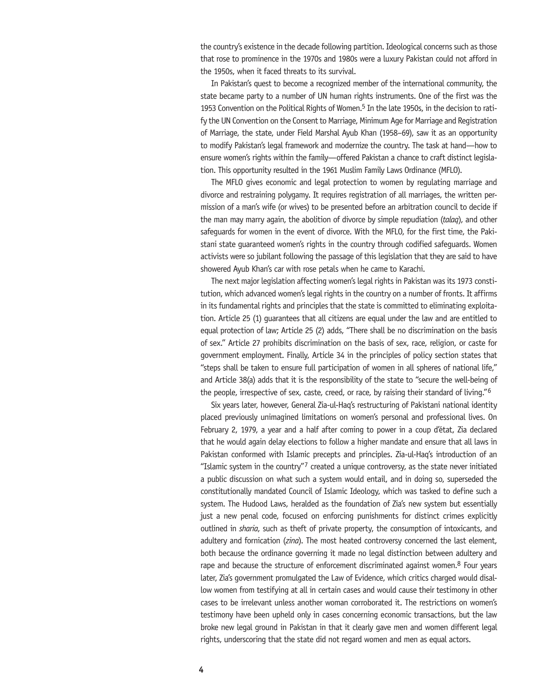the country's existence in the decade following partition. Ideological concerns such as those that rose to prominence in the 1970s and 1980s were a luxury Pakistan could not afford in the 1950s, when it faced threats to its survival.

In Pakistan's quest to become a recognized member of the international community, the state became party to a number of UN human rights instruments. One of the first was the 1953 Convention on the Political Rights of Women.5 In the late 1950s, in the decision to ratify the UN Convention on the Consent to Marriage, Minimum Age for Marriage and Registration of Marriage, the state, under Field Marshal Ayub Khan (1958–69), saw it as an opportunity to modify Pakistan's legal framework and modernize the country. The task at hand—how to ensure women's rights within the family—offered Pakistan a chance to craft distinct legislation. This opportunity resulted in the 1961 Muslim Family Laws Ordinance (MFLO).

The MFLO gives economic and legal protection to women by regulating marriage and divorce and restraining polygamy. It requires registration of all marriages, the written permission of a man's wife (or wives) to be presented before an arbitration council to decide if the man may marry again, the abolition of divorce by simple repudiation (*talaq*), and other safeguards for women in the event of divorce. With the MFLO, for the first time, the Pakistani state guaranteed women's rights in the country through codified safeguards. Women activists were so jubilant following the passage of this legislation that they are said to have showered Ayub Khan's car with rose petals when he came to Karachi.

The next major legislation affecting women's legal rights in Pakistan was its 1973 constitution, which advanced women's legal rights in the country on a number of fronts. It affirms in its fundamental rights and principles that the state is committed to eliminating exploitation. Article 25 (1) guarantees that all citizens are equal under the law and are entitled to equal protection of law; Article 25 (2) adds, "There shall be no discrimination on the basis of sex." Article 27 prohibits discrimination on the basis of sex, race, religion, or caste for government employment. Finally, Article 34 in the principles of policy section states that "steps shall be taken to ensure full participation of women in all spheres of national life," and Article 38(a) adds that it is the responsibility of the state to "secure the well-being of the people, irrespective of sex, caste, creed, or race, by raising their standard of living."6

Six years later, however, General Zia-ul-Haq's restructuring of Pakistani national identity placed previously unimagined limitations on women's personal and professional lives. On February 2, 1979, a year and a half after coming to power in a coup d'état, Zia declared that he would again delay elections to follow a higher mandate and ensure that all laws in Pakistan conformed with Islamic precepts and principles. Zia-ul-Haq's introduction of an "Islamic system in the country"<sup>7</sup> created a unique controversy, as the state never initiated a public discussion on what such a system would entail, and in doing so, superseded the constitutionally mandated Council of Islamic Ideology, which was tasked to define such a system. The Hudood Laws, heralded as the foundation of Zia's new system but essentially just a new penal code, focused on enforcing punishments for distinct crimes explicitly outlined in *sharia*, such as theft of private property, the consumption of intoxicants, and adultery and fornication (*zina*). The most heated controversy concerned the last element, both because the ordinance governing it made no legal distinction between adultery and rape and because the structure of enforcement discriminated against women.<sup>8</sup> Four years later, Zia's government promulgated the Law of Evidence, which critics charged would disallow women from testifying at all in certain cases and would cause their testimony in other cases to be irrelevant unless another woman corroborated it. The restrictions on women's testimony have been upheld only in cases concerning economic transactions, but the law broke new legal ground in Pakistan in that it clearly gave men and women different legal rights, underscoring that the state did not regard women and men as equal actors.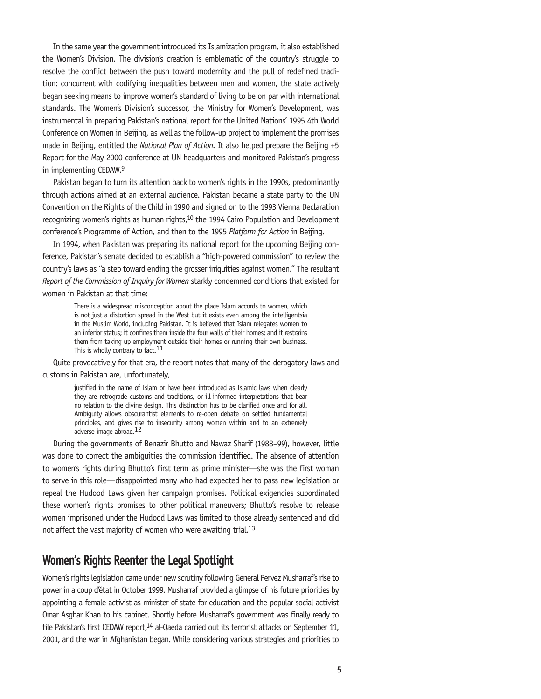In the same year the government introduced its Islamization program, it also established the Women's Division. The division's creation is emblematic of the country's struggle to resolve the conflict between the push toward modernity and the pull of redefined tradition: concurrent with codifying inequalities between men and women, the state actively began seeking means to improve women's standard of living to be on par with international standards. The Women's Division's successor, the Ministry for Women's Development, was instrumental in preparing Pakistan's national report for the United Nations' 1995 4th World Conference on Women in Beijing, as well as the follow-up project to implement the promises made in Beijing, entitled the *National Plan of Action*. It also helped prepare the Beijing +5 Report for the May 2000 conference at UN headquarters and monitored Pakistan's progress in implementing CEDAW.9

Pakistan began to turn its attention back to women's rights in the 1990s, predominantly through actions aimed at an external audience. Pakistan became a state party to the UN Convention on the Rights of the Child in 1990 and signed on to the 1993 Vienna Declaration recognizing women's rights as human rights,<sup>10</sup> the 1994 Cairo Population and Development conference's Programme of Action, and then to the 1995 *Platform for Action* in Beijing.

In 1994, when Pakistan was preparing its national report for the upcoming Beijing conference, Pakistan's senate decided to establish a "high-powered commission" to review the country's laws as "a step toward ending the grosser iniquities against women." The resultant *Report of the Commission of Inquiry for Women* starkly condemned conditions that existed for women in Pakistan at that time:

> There is a widespread misconception about the place Islam accords to women, which is not just a distortion spread in the West but it exists even among the intelligentsia in the Muslim World, including Pakistan. It is believed that Islam relegates women to an inferior status; it confines them inside the four walls of their homes; and it restrains them from taking up employment outside their homes or running their own business. This is wholly contrary to fact.<sup>11</sup>

Quite provocatively for that era, the report notes that many of the derogatory laws and customs in Pakistan are, unfortunately,

> justified in the name of Islam or have been introduced as Islamic laws when clearly they are retrograde customs and traditions, or ill-informed interpretations that bear no relation to the divine design. This distinction has to be clarified once and for all. Ambiguity allows obscurantist elements to re-open debate on settled fundamental principles, and gives rise to insecurity among women within and to an extremely adverse image abroad.12

During the governments of Benazir Bhutto and Nawaz Sharif (1988–99), however, little was done to correct the ambiguities the commission identified. The absence of attention to women's rights during Bhutto's first term as prime minister—she was the first woman to serve in this role—disappointed many who had expected her to pass new legislation or repeal the Hudood Laws given her campaign promises. Political exigencies subordinated these women's rights promises to other political maneuvers; Bhutto's resolve to release women imprisoned under the Hudood Laws was limited to those already sentenced and did not affect the vast majority of women who were awaiting trial.13

## **Women's Rights Reenter the Legal Spotlight**

Women's rights legislation came under new scrutiny following General Pervez Musharraf's rise to power in a coup d'état in October 1999. Musharraf provided a glimpse of his future priorities by appointing a female activist as minister of state for education and the popular social activist Omar Asghar Khan to his cabinet. Shortly before Musharraf's government was finally ready to file Pakistan's first CEDAW report,<sup>14</sup> al-Qaeda carried out its terrorist attacks on September 11, 2001, and the war in Afghanistan began. While considering various strategies and priorities to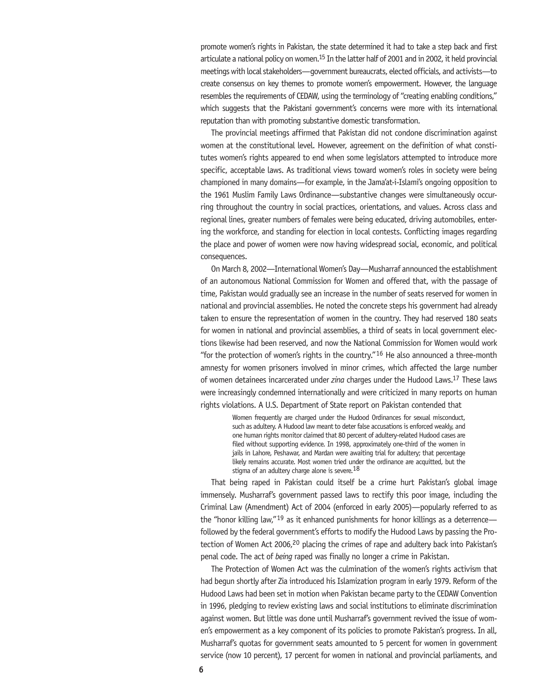promote women's rights in Pakistan, the state determined it had to take a step back and first articulate a national policy on women.<sup>15</sup> In the latter half of 2001 and in 2002, it held provincial meetings with local stakeholders—government bureaucrats, elected officials, and activists—to create consensus on key themes to promote women's empowerment. However, the language resembles the requirements of CEDAW, using the terminology of "creating enabling conditions," which suggests that the Pakistani government's concerns were more with its international reputation than with promoting substantive domestic transformation.

The provincial meetings affirmed that Pakistan did not condone discrimination against women at the constitutional level. However, agreement on the definition of what constitutes women's rights appeared to end when some legislators attempted to introduce more specific, acceptable laws. As traditional views toward women's roles in society were being championed in many domains—for example, in the Jama'at-i-Islami's ongoing opposition to the 1961 Muslim Family Laws Ordinance—substantive changes were simultaneously occurring throughout the country in social practices, orientations, and values. Across class and regional lines, greater numbers of females were being educated, driving automobiles, entering the workforce, and standing for election in local contests. Conflicting images regarding the place and power of women were now having widespread social, economic, and political consequences.

On March 8, 2002—International Women's Day—Musharraf announced the establishment of an autonomous National Commission for Women and offered that, with the passage of time, Pakistan would gradually see an increase in the number of seats reserved for women in national and provincial assemblies. He noted the concrete steps his government had already taken to ensure the representation of women in the country. They had reserved 180 seats for women in national and provincial assemblies, a third of seats in local government elections likewise had been reserved, and now the National Commission for Women would work "for the protection of women's rights in the country." $16$  He also announced a three-month amnesty for women prisoners involved in minor crimes, which affected the large number of women detainees incarcerated under *zina* charges under the Hudood Laws.17 These laws were increasingly condemned internationally and were criticized in many reports on human rights violations. A U.S. Department of State report on Pakistan contended that

> Women frequently are charged under the Hudood Ordinances for sexual misconduct, such as adultery. A Hudood law meant to deter false accusations is enforced weakly, and one human rights monitor claimed that 80 percent of adultery-related Hudood cases are filed without supporting evidence. In 1998, approximately one-third of the women in jails in Lahore, Peshawar, and Mardan were awaiting trial for adultery; that percentage likely remains accurate. Most women tried under the ordinance are acquitted, but the stigma of an adultery charge alone is severe.<sup>18</sup>

That being raped in Pakistan could itself be a crime hurt Pakistan's global image immensely. Musharraf's government passed laws to rectify this poor image, including the Criminal Law (Amendment) Act of 2004 (enforced in early 2005)—popularly referred to as the "honor killing law," $19$  as it enhanced punishments for honor killings as a deterrence followed by the federal government's efforts to modify the Hudood Laws by passing the Protection of Women Act 2006,<sup>20</sup> placing the crimes of rape and adultery back into Pakistan's penal code. The act of *being* raped was finally no longer a crime in Pakistan.

The Protection of Women Act was the culmination of the women's rights activism that had begun shortly after Zia introduced his Islamization program in early 1979. Reform of the Hudood Laws had been set in motion when Pakistan became party to the CEDAW Convention in 1996, pledging to review existing laws and social institutions to eliminate discrimination against women. But little was done until Musharraf's government revived the issue of women's empowerment as a key component of its policies to promote Pakistan's progress. In all, Musharraf's quotas for government seats amounted to 5 percent for women in government service (now 10 percent), 17 percent for women in national and provincial parliaments, and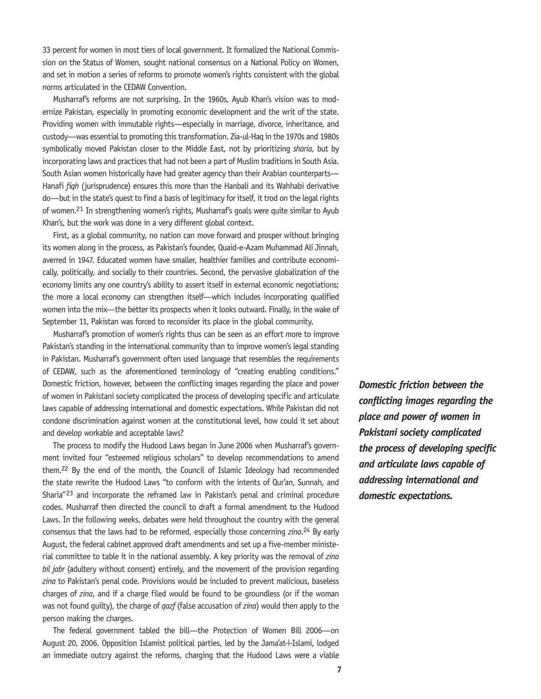33 percent for women in most tiers of local government. It formalized the National Commission on the Status of Women, sought national consensus on a National Policy on Women, and set in motion a series of reforms to promote women's rights consistent with the global norms articulated in the CEDAW Convention.

Musharraf's reforms are not surprising. In the 1960s, Ayub Khan's vision was to modernize Pakistan, especially in promoting economic development and the writ of the state. Providing women with immutable rights—especially in marriage, divorce, inheritance, and custody—was essential to promoting this transformation. Zia-ul-Haq in the 1970s and 1980s symbolically moved Pakistan closer to the Middle East, not by prioritizing *sharia*, but by incorporating laws and practices that had not been a part of Muslim traditions in South Asia. South Asian women historically have had greater agency than their Arabian counterparts— Hanafi *fiqh* (jurisprudence) ensures this more than the Hanbali and its Wahhabi derivative do—but in the state's quest to find a basis of legitimacy for itself, it trod on the legal rights of women.21 In strengthening women's rights, Musharraf's goals were quite similar to Ayub Khan's, but the work was done in a very different global context.

First, as a global community, no nation can move forward and prosper without bringing its women along in the process, as Pakistan's founder, Quaid-e-Azam Muhammad Ali Jinnah, averred in 1947. Educated women have smaller, healthier families and contribute economically, politically, and socially to their countries. Second, the pervasive globalization of the economy limits any one country's ability to assert itself in external economic negotiations; the more a local economy can strengthen itself—which includes incorporating qualified women into the mix—the better its prospects when it looks outward. Finally, in the wake of September 11, Pakistan was forced to reconsider its place in the global community.

Musharraf's promotion of women's rights thus can be seen as an effort more to improve Pakistan's standing in the international community than to improve women's legal standing in Pakistan. Musharraf's government often used language that resembles the requirements of CEDAW, such as the aforementioned terminology of "creating enabling conditions." Domestic friction, however, between the conflicting images regarding the place and power of women in Pakistani society complicated the process of developing specific and articulate laws capable of addressing international and domestic expectations. While Pakistan did not condone discrimination against women at the constitutional level, how could it set about and develop workable and acceptable laws?

The process to modify the Hudood Laws began in June 2006 when Musharraf's government invited four "esteemed religious scholars" to develop recommendations to amend them.22 By the end of the month, the Council of Islamic Ideology had recommended the state rewrite the Hudood Laws "to conform with the intents of Qur'an, Sunnah, and Sharia"23 and incorporate the reframed law in Pakistan's penal and criminal procedure codes. Musharraf then directed the council to draft a formal amendment to the Hudood Laws. In the following weeks, debates were held throughout the country with the general consensus that the laws had to be reformed, especially those concerning *zina*. 24 By early August, the federal cabinet approved draft amendments and set up a five-member ministerial committee to table it in the national assembly. A key priority was the removal of *zina bil jabr* (adultery without consent) entirely, and the movement of the provision regarding *zina* to Pakistan's penal code. Provisions would be included to prevent malicious, baseless charges of *zina*, and if a charge filed would be found to be groundless (or if the woman was not found guilty), the charge of *qazf* (false accusation of *zina*) would then apply to the person making the charges.

The federal government tabled the bill—the Protection of Women Bill 2006—on August 20, 2006. Opposition Islamist political parties, led by the Jama'at-i-Islami, lodged an immediate outcry against the reforms, charging that the Hudood Laws were a viable

*Domestic friction between the conflicting images regarding the place and power of women in Pakistani society complicated the process of developing specific and articulate laws capable of addressing international and domestic expectations.*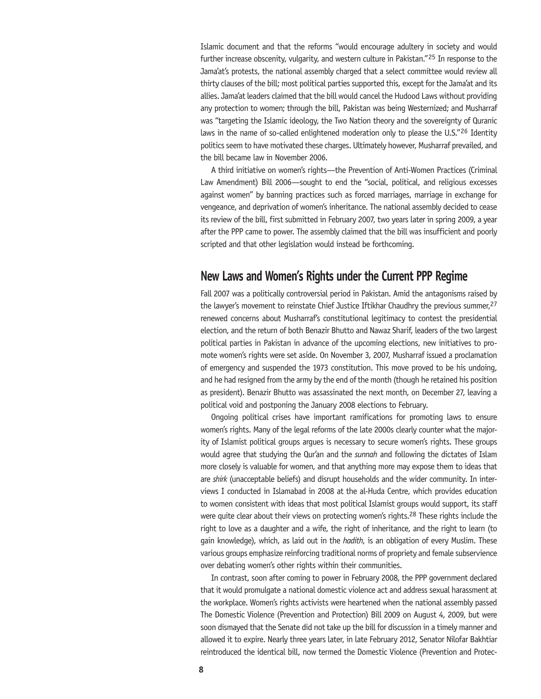Islamic document and that the reforms "would encourage adultery in society and would further increase obscenity, vulgarity, and western culture in Pakistan."<sup>25</sup> In response to the Jama'at's protests, the national assembly charged that a select committee would review all thirty clauses of the bill; most political parties supported this, except for the Jama'at and its allies. Jama'at leaders claimed that the bill would cancel the Hudood Laws without providing any protection to women; through the bill, Pakistan was being Westernized; and Musharraf was "targeting the Islamic ideology, the Two Nation theory and the sovereignty of Quranic laws in the name of so-called enlightened moderation only to please the U.S."<sup>26</sup> Identity politics seem to have motivated these charges. Ultimately however, Musharraf prevailed, and the bill became law in November 2006.

A third initiative on women's rights—the Prevention of Anti-Women Practices (Criminal Law Amendment) Bill 2006—sought to end the "social, political, and religious excesses against women" by banning practices such as forced marriages, marriage in exchange for vengeance, and deprivation of women's inheritance. The national assembly decided to cease its review of the bill, first submitted in February 2007, two years later in spring 2009, a year after the PPP came to power. The assembly claimed that the bill was insufficient and poorly scripted and that other legislation would instead be forthcoming.

## **New Laws and Women's Rights under the Current PPP Regime**

Fall 2007 was a politically controversial period in Pakistan. Amid the antagonisms raised by the lawyer's movement to reinstate Chief Justice Iftikhar Chaudhry the previous summer,<sup>27</sup> renewed concerns about Musharraf's constitutional legitimacy to contest the presidential election, and the return of both Benazir Bhutto and Nawaz Sharif, leaders of the two largest political parties in Pakistan in advance of the upcoming elections, new initiatives to promote women's rights were set aside. On November 3, 2007, Musharraf issued a proclamation of emergency and suspended the 1973 constitution. This move proved to be his undoing, and he had resigned from the army by the end of the month (though he retained his position as president). Benazir Bhutto was assassinated the next month, on December 27, leaving a political void and postponing the January 2008 elections to February.

Ongoing political crises have important ramifications for promoting laws to ensure women's rights. Many of the legal reforms of the late 2000s clearly counter what the majority of Islamist political groups argues is necessary to secure women's rights. These groups would agree that studying the Qur'an and the *sunnah* and following the dictates of Islam more closely is valuable for women, and that anything more may expose them to ideas that are *shirk* (unacceptable beliefs) and disrupt households and the wider community. In interviews I conducted in Islamabad in 2008 at the al-Huda Centre, which provides education to women consistent with ideas that most political Islamist groups would support, its staff were quite clear about their views on protecting women's rights.<sup>28</sup> These rights include the right to love as a daughter and a wife, the right of inheritance, and the right to learn (to gain knowledge), which, as laid out in the *hadith*, is an obligation of every Muslim. These various groups emphasize reinforcing traditional norms of propriety and female subservience over debating women's other rights within their communities.

In contrast, soon after coming to power in February 2008, the PPP government declared that it would promulgate a national domestic violence act and address sexual harassment at the workplace. Women's rights activists were heartened when the national assembly passed The Domestic Violence (Prevention and Protection) Bill 2009 on August 4, 2009, but were soon dismayed that the Senate did not take up the bill for discussion in a timely manner and allowed it to expire. Nearly three years later, in late February 2012, Senator Nilofar Bakhtiar reintroduced the identical bill, now termed the Domestic Violence (Prevention and Protec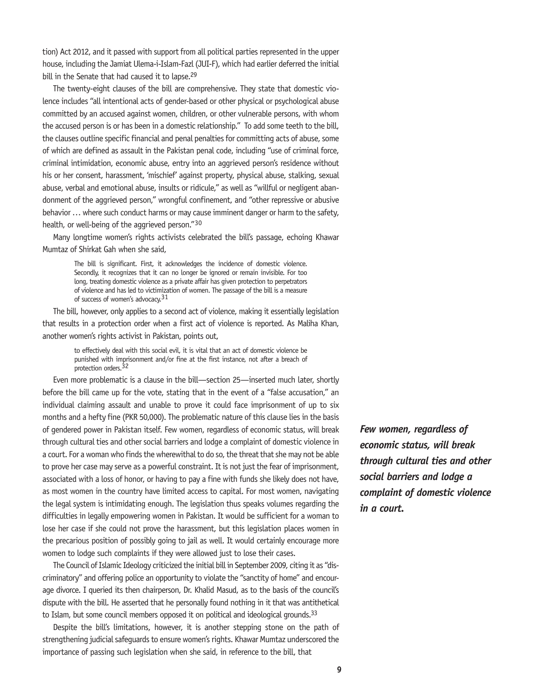tion) Act 2012, and it passed with support from all political parties represented in the upper house, including the Jamiat Ulema-i-Islam-Fazl (JUI-F), which had earlier deferred the initial bill in the Senate that had caused it to lapse.<sup>29</sup>

The twenty-eight clauses of the bill are comprehensive. They state that domestic violence includes "all intentional acts of gender-based or other physical or psychological abuse committed by an accused against women, children, or other vulnerable persons, with whom the accused person is or has been in a domestic relationship." To add some teeth to the bill, the clauses outline specific financial and penal penalties for committing acts of abuse, some of which are defined as assault in the Pakistan penal code, including "use of criminal force, criminal intimidation, economic abuse, entry into an aggrieved person's residence without his or her consent, harassment, 'mischief' against property, physical abuse, stalking, sexual abuse, verbal and emotional abuse, insults or ridicule," as well as "willful or negligent abandonment of the aggrieved person," wrongful confinement, and "other repressive or abusive behavior … where such conduct harms or may cause imminent danger or harm to the safety, health, or well-being of the aggrieved person."<sup>30</sup>

Many longtime women's rights activists celebrated the bill's passage, echoing Khawar Mumtaz of Shirkat Gah when she said,

> The bill is significant. First, it acknowledges the incidence of domestic violence. Secondly, it recognizes that it can no longer be ignored or remain invisible. For too long, treating domestic violence as a private affair has given protection to perpetrators of violence and has led to victimization of women. The passage of the bill is a measure of success of women's advocacy.<sup>31</sup>

The bill, however, only applies to a second act of violence, making it essentially legislation that results in a protection order when a first act of violence is reported. As Maliha Khan, another women's rights activist in Pakistan, points out,

> to effectively deal with this social evil, it is vital that an act of domestic violence be punished with imprisonment and/or fine at the first instance, not after a breach of protection orders.<sup>32</sup>

Even more problematic is a clause in the bill—section 25—inserted much later, shortly before the bill came up for the vote, stating that in the event of a "false accusation," an individual claiming assault and unable to prove it could face imprisonment of up to six months and a hefty fine (PKR 50,000). The problematic nature of this clause lies in the basis of gendered power in Pakistan itself. Few women, regardless of economic status, will break through cultural ties and other social barriers and lodge a complaint of domestic violence in a court. For a woman who finds the wherewithal to do so, the threat that she may not be able to prove her case may serve as a powerful constraint. It is not just the fear of imprisonment, associated with a loss of honor, or having to pay a fine with funds she likely does not have, as most women in the country have limited access to capital. For most women, navigating the legal system is intimidating enough. The legislation thus speaks volumes regarding the difficulties in legally empowering women in Pakistan. It would be sufficient for a woman to lose her case if she could not prove the harassment, but this legislation places women in the precarious position of possibly going to jail as well. It would certainly encourage more women to lodge such complaints if they were allowed just to lose their cases.

The Council of Islamic Ideology criticized the initial bill in September 2009, citing it as "discriminatory" and offering police an opportunity to violate the "sanctity of home" and encourage divorce. I queried its then chairperson, Dr. Khalid Masud, as to the basis of the council's dispute with the bill. He asserted that he personally found nothing in it that was antithetical to Islam, but some council members opposed it on political and ideological grounds.<sup>33</sup>

Despite the bill's limitations, however, it is another stepping stone on the path of strengthening judicial safeguards to ensure women's rights. Khawar Mumtaz underscored the importance of passing such legislation when she said, in reference to the bill, that

*Few women, regardless of economic status, will break through cultural ties and other social barriers and lodge a complaint of domestic violence in a court.*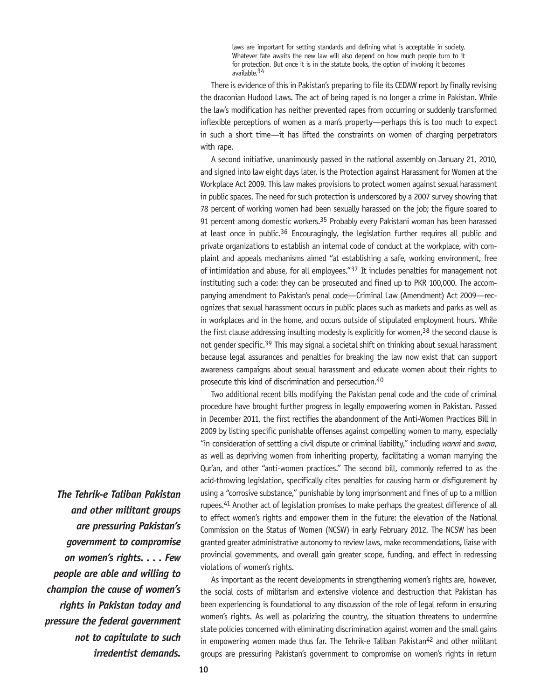laws are important for setting standards and defining what is acceptable in society. Whatever fate awaits the new law will also depend on how much people turn to it for protection. But once it is in the statute books, the option of invoking it becomes available.34

There is evidence of this in Pakistan's preparing to file its CEDAW report by finally revising the draconian Hudood Laws. The act of being raped is no longer a crime in Pakistan. While the law's modification has neither prevented rapes from occurring or suddenly transformed inflexible perceptions of women as a man's property—perhaps this is too much to expect in such a short time—it has lifted the constraints on women of charging perpetrators with rape.

A second initiative, unanimously passed in the national assembly on January 21, 2010, and signed into law eight days later, is the Protection against Harassment for Women at the Workplace Act 2009. This law makes provisions to protect women against sexual harassment in public spaces. The need for such protection is underscored by a 2007 survey showing that 78 percent of working women had been sexually harassed on the job; the figure soared to 91 percent among domestic workers.<sup>35</sup> Probably every Pakistani woman has been harassed at least once in public.<sup>36</sup> Encouragingly, the legislation further requires all public and private organizations to establish an internal code of conduct at the workplace, with complaint and appeals mechanisms aimed "at establishing a safe, working environment, free of intimidation and abuse, for all employees."37 It includes penalties for management not instituting such a code: they can be prosecuted and fined up to PKR 100,000. The accompanying amendment to Pakistan's penal code—Criminal Law (Amendment) Act 2009—recognizes that sexual harassment occurs in public places such as markets and parks as well as in workplaces and in the home, and occurs outside of stipulated employment hours. While the first clause addressing insulting modesty is explicitly for women,  $38$  the second clause is not gender specific.39 This may signal a societal shift on thinking about sexual harassment because legal assurances and penalties for breaking the law now exist that can support awareness campaigns about sexual harassment and educate women about their rights to prosecute this kind of discrimination and persecution.40

Two additional recent bills modifying the Pakistan penal code and the code of criminal procedure have brought further progress in legally empowering women in Pakistan. Passed in December 2011, the first rectifies the abandonment of the Anti-Women Practices Bill in 2009 by listing specific punishable offenses against compelling women to marry, especially "in consideration of settling a civil dispute or criminal liability," including *wanni* and *swara*, as well as depriving women from inheriting property, facilitating a woman marrying the Qur'an, and other "anti-women practices." The second bill, commonly referred to as the acid-throwing legislation, specifically cites penalties for causing harm or disfigurement by using a "corrosive substance," punishable by long imprisonment and fines of up to a million rupees.<sup>41</sup> Another act of legislation promises to make perhaps the greatest difference of all to effect women's rights and empower them in the future: the elevation of the National Commission on the Status of Women (NCSW) in early February 2012. The NCSW has been granted greater administrative autonomy to review laws, make recommendations, liaise with provincial governments, and overall gain greater scope, funding, and effect in redressing violations of women's rights.

As important as the recent developments in strengthening women's rights are, however, the social costs of militarism and extensive violence and destruction that Pakistan has been experiencing is foundational to any discussion of the role of legal reform in ensuring women's rights. As well as polarizing the country, the situation threatens to undermine state policies concerned with eliminating discrimination against women and the small gains in empowering women made thus far. The Tehrik-e Taliban Pakistan<sup>42</sup> and other militant groups are pressuring Pakistan's government to compromise on women's rights in return

*The Tehrik-e Taliban Pakistan and other militant groups are pressuring Pakistan's government to compromise on women's rights. . . . Few people are able and willing to champion the cause of women's rights in Pakistan today and pressure the federal government not to capitulate to such irredentist demands.*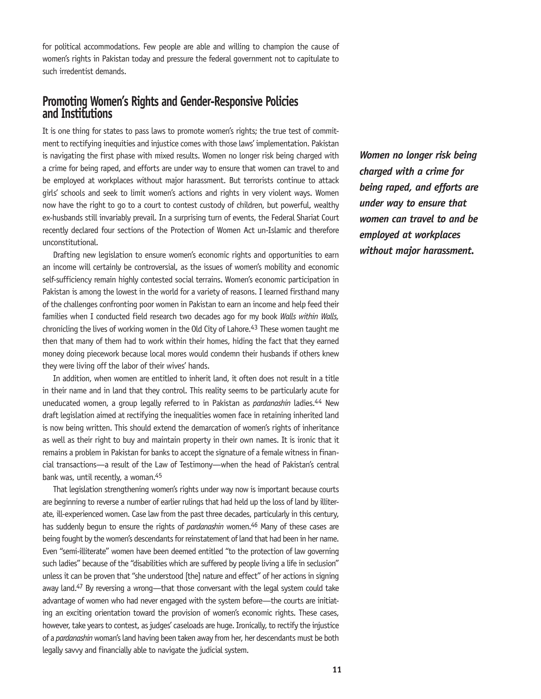for political accommodations. Few people are able and willing to champion the cause of women's rights in Pakistan today and pressure the federal government not to capitulate to such irredentist demands.

## **Promoting Women's Rights and Gender-Responsive Policies and Institutions**

It is one thing for states to pass laws to promote women's rights; the true test of commitment to rectifying inequities and injustice comes with those laws' implementation. Pakistan is navigating the first phase with mixed results. Women no longer risk being charged with a crime for being raped, and efforts are under way to ensure that women can travel to and be employed at workplaces without major harassment. But terrorists continue to attack girls' schools and seek to limit women's actions and rights in very violent ways. Women now have the right to go to a court to contest custody of children, but powerful, wealthy ex-husbands still invariably prevail. In a surprising turn of events, the Federal Shariat Court recently declared four sections of the Protection of Women Act un-Islamic and therefore unconstitutional.

Drafting new legislation to ensure women's economic rights and opportunities to earn an income will certainly be controversial, as the issues of women's mobility and economic self-sufficiency remain highly contested social terrains. Women's economic participation in Pakistan is among the lowest in the world for a variety of reasons. I learned firsthand many of the challenges confronting poor women in Pakistan to earn an income and help feed their families when I conducted field research two decades ago for my book *Walls within Walls,*  chronicling the lives of working women in the Old City of Lahore.<sup>43</sup> These women taught me then that many of them had to work within their homes, hiding the fact that they earned money doing piecework because local mores would condemn their husbands if others knew they were living off the labor of their wives' hands.

In addition, when women are entitled to inherit land, it often does not result in a title in their name and in land that they control. This reality seems to be particularly acute for uneducated women, a group legally referred to in Pakistan as *pardanashin* ladies.44 New draft legislation aimed at rectifying the inequalities women face in retaining inherited land is now being written. This should extend the demarcation of women's rights of inheritance as well as their right to buy and maintain property in their own names. It is ironic that it remains a problem in Pakistan for banks to accept the signature of a female witness in financial transactions—a result of the Law of Testimony—when the head of Pakistan's central bank was, until recently, a woman.45

That legislation strengthening women's rights under way now is important because courts are beginning to reverse a number of earlier rulings that had held up the loss of land by illiterate, ill-experienced women. Case law from the past three decades, particularly in this century, has suddenly begun to ensure the rights of *pardanashin* women.<sup>46</sup> Many of these cases are being fought by the women's descendants for reinstatement of land that had been in her name. Even "semi-illiterate" women have been deemed entitled "to the protection of law governing such ladies" because of the "disabilities which are suffered by people living a life in seclusion" unless it can be proven that "she understood [the] nature and effect" of her actions in signing away land.<sup>47</sup> By reversing a wrong—that those conversant with the legal system could take advantage of women who had never engaged with the system before—the courts are initiating an exciting orientation toward the provision of women's economic rights. These cases, however, take years to contest, as judges' caseloads are huge. Ironically, to rectify the injustice of a *pardanashin* woman's land having been taken away from her, her descendants must be both legally savvy and financially able to navigate the judicial system.

*Women no longer risk being charged with a crime for being raped, and efforts are under way to ensure that women can travel to and be employed at workplaces without major harassment.*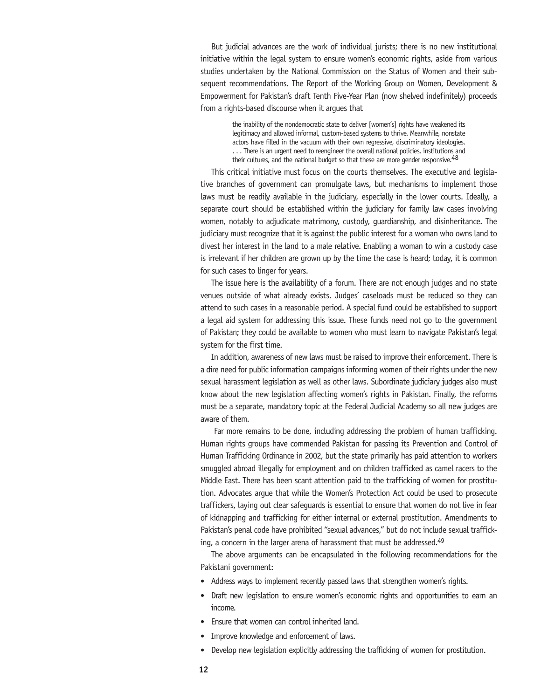But judicial advances are the work of individual jurists; there is no new institutional initiative within the legal system to ensure women's economic rights, aside from various studies undertaken by the National Commission on the Status of Women and their subsequent recommendations. The Report of the Working Group on Women, Development & Empowerment for Pakistan's draft Tenth Five-Year Plan (now shelved indefinitely) proceeds from a rights-based discourse when it argues that

> the inability of the nondemocratic state to deliver [women's] rights have weakened its legitimacy and allowed informal, custom-based systems to thrive. Meanwhile, nonstate actors have filled in the vacuum with their own regressive, discriminatory ideologies. . . . There is an urgent need to reengineer the overall national policies, institutions and their cultures, and the national budget so that these are more gender responsive.<sup>48</sup>

This critical initiative must focus on the courts themselves. The executive and legislative branches of government can promulgate laws, but mechanisms to implement those laws must be readily available in the judiciary, especially in the lower courts. Ideally, a separate court should be established within the judiciary for family law cases involving women, notably to adjudicate matrimony, custody, guardianship, and disinheritance. The judiciary must recognize that it is against the public interest for a woman who owns land to divest her interest in the land to a male relative. Enabling a woman to win a custody case is irrelevant if her children are grown up by the time the case is heard; today, it is common for such cases to linger for years.

The issue here is the availability of a forum. There are not enough judges and no state venues outside of what already exists. Judges' caseloads must be reduced so they can attend to such cases in a reasonable period. A special fund could be established to support a legal aid system for addressing this issue. These funds need not go to the government of Pakistan; they could be available to women who must learn to navigate Pakistan's legal system for the first time.

In addition, awareness of new laws must be raised to improve their enforcement. There is a dire need for public information campaigns informing women of their rights under the new sexual harassment legislation as well as other laws. Subordinate judiciary judges also must know about the new legislation affecting women's rights in Pakistan. Finally, the reforms must be a separate, mandatory topic at the Federal Judicial Academy so all new judges are aware of them.

 Far more remains to be done, including addressing the problem of human trafficking. Human rights groups have commended Pakistan for passing its Prevention and Control of Human Trafficking Ordinance in 2002, but the state primarily has paid attention to workers smuggled abroad illegally for employment and on children trafficked as camel racers to the Middle East. There has been scant attention paid to the trafficking of women for prostitution. Advocates argue that while the Women's Protection Act could be used to prosecute traffickers, laying out clear safeguards is essential to ensure that women do not live in fear of kidnapping and trafficking for either internal or external prostitution. Amendments to Pakistan's penal code have prohibited "sexual advances," but do not include sexual trafficking, a concern in the larger arena of harassment that must be addressed.<sup>49</sup>

The above arguments can be encapsulated in the following recommendations for the Pakistani government:

- Address ways to implement recently passed laws that strengthen women's rights.
- Draft new legislation to ensure women's economic rights and opportunities to earn an income.
- Ensure that women can control inherited land.
- Improve knowledge and enforcement of laws.
- Develop new legislation explicitly addressing the trafficking of women for prostitution.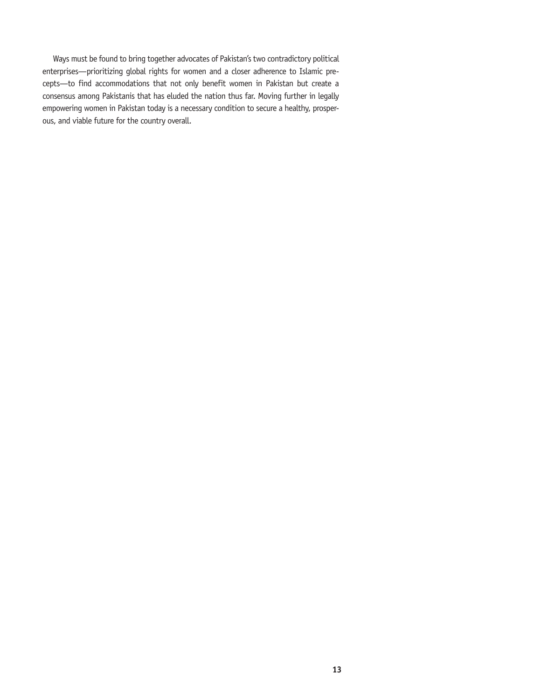Ways must be found to bring together advocates of Pakistan's two contradictory political enterprises—prioritizing global rights for women and a closer adherence to Islamic precepts—to find accommodations that not only benefit women in Pakistan but create a consensus among Pakistanis that has eluded the nation thus far. Moving further in legally empowering women in Pakistan today is a necessary condition to secure a healthy, prosperous, and viable future for the country overall.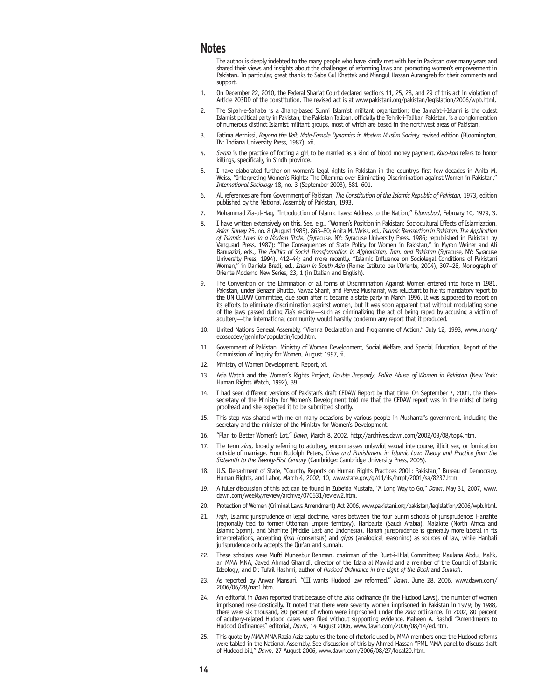### **Notes**

The author is deeply indebted to the many people who have kindly met with her in Pakistan over many years and shared their views and insights about the challenges of reforming laws and promoting women's empowerment in Pakistan. In particular, great thanks to Saba Gul Khattak and Miangul Hassan Aurangzeb for their comments and support.

- 1. On December 22, 2010, the Federal Shariat Court declared sections 11, 25, 28, and 29 of this act in violation of Article 203DD of the constitution. The revised act is at www.pakistani.org/pakistan/legislation/2006/wpb.html.
- 2. The Sipah-e-Sahaba is a Jhang-based Sunni Islamist militant organization; the Jama'at-i-Islami is the oldest Islamist political party in Pakistan; the Pakistan Taliban, officially the Tehrik-i-Taliban Pakistan, is a conglomeration of numerous distinct Islamist militant groups, most of which are based in the northwest areas of Pakistan.
- 3. Fatima Mernissi, *Beyond the Veil: Male-Female Dynamics in Modern Muslim Society,* revised edition (Bloomington, IN: Indiana University Press, 1987), xii.
- 4. *Swara* is the practice of forcing a girl to be married as a kind of blood money payment. *Karo-kari* refers to honor killings, specifically in Sindh province.
- 5. I have elaborated further on women's legal rights in Pakistan in the country's first few decades in Anita M. Weiss, "Interpreting Women's Rights: The Dilemma over Eliminating Discrimination against Women in Pakistan," *International Sociology* 18, no. 3 (September 2003), 581–601.
- 6. All references are from Government of Pakistan, *The Constitution of the Islamic Republic of Pakistan,* 1973, edition published by the National Assembly of Pakistan, 1993.
- 7. Mohammad Zia-ul-Haq, "Introduction of Islamic Laws: Address to the Nation," *Islamabad*, February 10, 1979, 3.
- 8. I have written extensively on this. See, e.g., "Women's Position in Pakistan: Sociocultural Effects of Islamization, *Asian Survey* 25, no. 8 (August 1985), 863–80; Anita M. Weiss, ed., *Islamic Reassertion in Pakistan: The Application of Islamic Laws in a Modem State,* (Syracuse, NY: Syracuse University Press, 1986; republished in Pakistan by<br>Vanguard Press, 1987); "The Consequences of State Policy for Women in Pakistan," in Myron Weiner and Ali Banuazizi, eds., *The Politics of Social Transformation in Afghanistan, Iran, and Pakistan* (Syracuse, NY: Syracuse University Press, 1994), 412–44; and more recently, "Islamic Influence on Sociolegal Conditions of Pakistani Women," in Daniela Bredi, ed., *Islam in South Asia* (Rome: Istituto per l'Oriente, 2004), 307–28, Monograph of Oriente Moderno New Series, 23, 1 (in Italian and English).
- 9. The Convention on the Elimination of all forms of Discrimination Against Women entered into force in 1981. Pakistan, under Benazir Bhutto, Nawaz Sharif, and Pervez Musharraf, was reluctant to file its mandatory report to the UN CEDAW Committee, due soon after it became a state party in March 1996. It was supposed to report on its efforts to eliminate discrimination against women, but it was soon apparent that without modulating some of the laws passed during Zia's regime—such as criminalizing the act of being raped by accusing a victim of adultery—the international community would harshly condemn any report that it produced.
- 10. United Nations General Assembly, "Vienna Declaration and Programme of Action," July 12, 1993, www.un.org/ ecosocdev/geninfo/populatin/icpd.htm.
- 11. Government of Pakistan, Ministry of Women Development, Social Welfare, and Special Education, Report of the Commission of Inquiry for Women, August 1997, ii.
- 12. Ministry of Women Development, Report, xi.
- 13. Asia Watch and the Women's Rights Project, *Double Jeopardy: Police Abuse of Women in Pakistan* (New York: Human Rights Watch, 1992), 39.
- 14. I had seen different versions of Pakistan's draft CEDAW Report by that time. On September 7, 2001, the thensecretary of the Ministry for Women's Development told me that the CEDAW report was in the midst of being proofread and she expected it to be submitted shortly.
- 15. This step was shared with me on many occasions by various people in Musharraf's government, including the secretary and the minister of the Ministry for Women's Development.
- 16. "Plan to Better Women's Lot," *Dawn*, March 8, 2002, http://archives.dawn.com/2002/03/08/top4.htm.
- 17. The term *zina*, broadly referring to adultery, encompasses unlawful sexual intercourse, illicit sex, or fornication outside of marriage. From Rudolph Peters, *Crime and Punishment in Islamic Law: Theory and Practice from the Sixteenth to the Twenty-First Century* (Cambridge: Cambridge University Press, 2005).
- 18. U.S. Department of State, "Country Reports on Human Rights Practices 2001: Pakistan," Bureau of Democracy, Human Rights, and Labor, March 4, 2002, 10, www.state.gov/g/drl/rls/hrrpt/2001/sa/8237.htm.
- 19. A fuller discussion of this act can be found in Zubeida Mustafa, "A Long Way to Go," *Dawn*, May 31, 2007, www. dawn.com/weekly/review/archive/070531/review2.htm.
- 20. Protection of Women (Criminal Laws Amendment) Act 2006, www.pakistani.org/pakistan/legislation/2006/wpb.html.
- 21. *Fiqh*, Islamic jurisprudence or legal doctrine, varies between the four Sunni schools of jurisprudence: Hanafite (regionally tied to former Ottoman Empire territory), Hanbalite (Saudi Arabia), Malakite (North Africa and Islamic Spain), and Shafi'ite (Middle East and Indonesia). Hanafi jurisprudence is generally more liberal in its interpretations, accepting *ijma* (consensus) and *qiyas* (analogical reasoning) as sources of law, while Hanbali jurisprudence only accepts the Qur'an and sunnah.
- 22. These scholars were Mufti Muneebur Rehman, chairman of the Ruet-i-Hilal Committee; Maulana Abdul Malik, an MMA MNA; Javed Ahmad Ghamdi, director of the Idara al Mawrid and a member of the Council of Islamic Ideology; and Dr. Tufail Hashmi, author of *Hudood Ordinance in the Light of the Book* and *Sunnah*.
- 23. As reported by Anwar Mansuri, "CII wants Hudood law reformed," *Dawn*, June 28, 2006, www.dawn.com/ 2006/06/28/nat1.htm.
- 24. An editorial in *Dawn* reported that because of the *zina* ordinance (in the Hudood Laws), the number of women imprisoned rose drastically. It noted that there were seventy women imprisoned in Pakistan in 1979; by 1988, there were six thousand, 80 percent of whom were imprisoned under the *zina* ordinance. In 2002, 80 percent of adultery-related Hudood cases were filed without supporting evidence. Maheen A. Rashdi "Amendments to Hudood Ordinances" editorial, *Dawn*, 14 August 2006, www.dawn.com/2006/08/14/ed.htm.
- 25. This quote by MMA MNA Razia Aziz captures the tone of rhetoric used by MMA members once the Hudood reforms were tabled in the National Assembly. See discussion of this by Ahmed Hassan "PML-MMA panel to discuss draft of Hudood bill," *Dawn*, 27 August 2006, www.dawn.com/2006/08/27/local20.htm.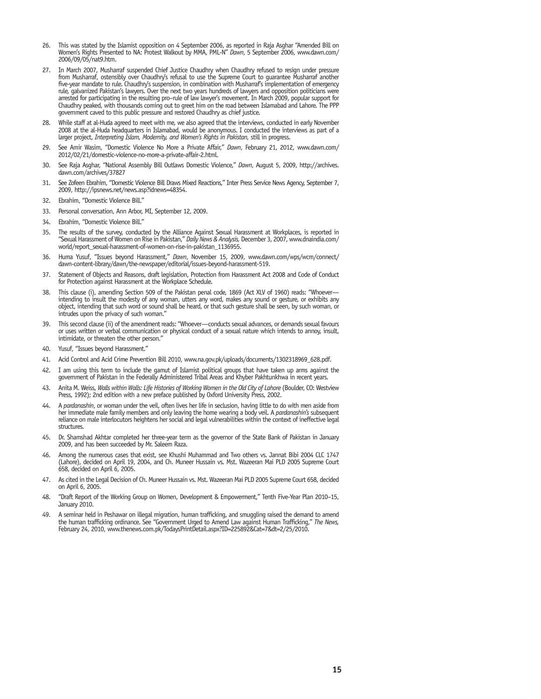- 26. This was stated by the Islamist opposition on 4 September 2006, as reported in Raja Asghar "Amended Bill on Women's Rights Presented to NA: Protest Walkout by MMA, PML-N" *Dawn*, 5 September 2006, www.dawn.com/ 2006/09/05/nat9.htm.
- 27. In March 2007, Musharraf suspended Chief Justice Chaudhry when Chaudhry refused to resign under pressure from Musharraf, ostensibly over Chaudhry's refusal to use the Supreme Court to guarantee Musharraf another five-year mandate to rule. Chaudhry's suspension, in combination with Musharraf's implementation of emergency rule, galvanized Pakistan's lawyers. Over the next two years hundreds of lawyers and opposition politicians were arrested for participating in the resulting pro–rule of law lawyer's movement. In March 2009, popular support for Chaudhry peaked, with thousands coming out to greet him on the road between Islamabad and Lahore. The PPP government caved to this public pressure and restored Chaudhry as chief justice.
- 28. While staff at al-Huda agreed to meet with me, we also agreed that the interviews, conducted in early November 2008 at the al-Huda headquarters in Islamabad, would be anonymous. I conducted the interviews as part of a larger project, *Interpreting Islam, Modernity, and Women's Rights in Pakistan,* still in progress.
- 29. See Amir Wasim, "Domestic Violence No More a Private Affair," *Dawn*, February 21, 2012, www.dawn.com/ 2012/02/21/domestic-violence-no-more-a-private-affair-2.html.
- 30. See Raja Asghar, "National Assembly Bill Outlaws Domestic Violence," *Dawn*, August 5, 2009, http://archives. dawn.com/archives/37827
- 31. See Zofeen Ebrahim, "Domestic Violence Bill Draws Mixed Reactions," Inter Press Service News Agency, September 7, 2009, http://ipsnews.net/news.asp?idnews=48354.
- 32. Ebrahim, "Domestic Violence Bill."
- 33. Personal conversation, Ann Arbor, MI, September 12, 2009.
- 34. Ebrahim, "Domestic Violence Bill."
- 35. The results of the survey, conducted by the Alliance Against Sexual Harassment at Workplaces, is reported in "Sexual Harassment of Women on Rise in Pakistan," *Daily News & Analysis,* December 3, 2007, www.dnaindia.com/ world/report\_sexual-harassment-of-women-on-rise-in-pakistan\_1136955.
- 36. Huma Yusuf, "Issues beyond Harassment," *Dawn*, November 15, 2009, www.dawn.com/wps/wcm/connect/ dawn-content-library/dawn/the-newspaper/editorial/issues-beyond-harassment-519.
- 37. Statement of Objects and Reasons, draft legislation, Protection from Harassment Act 2008 and Code of Conduct for Protection against Harassment at the Workplace Schedule.
- 38. This clause (i), amending Section 509 of the Pakistan penal code, 1869 (Act XLV of 1960) reads: "Whoever intending to insult the modesty of any woman, utters any word, makes any sound or gesture, or exhibits any object, intending that such word or sound shall be heard, or that such gesture shall be seen, by such woman, or intrudes upon the privacy of such woman."
- This second clause (ii) of the amendment reads: "Whoever--conducts sexual advances, or demands sexual favours or uses written or verbal communication or physical conduct of a sexual nature which intends to annoy, insult, intimidate, or threaten the other person."
- 40. Yusuf, "Issues beyond Harassment."
- 41. Acid Control and Acid Crime Prevention Bill 2010, www.na.gov.pk/uploads/documents/1302318969\_628.pdf.
- 42. I am using this term to include the gamut of Islamist political groups that have taken up arms against the government of Pakistan in the Federally Administered Tribal Areas and Khyber Pakhtunkhwa in recent years.
- 43. Anita M. Weiss, Walls within Walls: Life Histories of Working Women in the Old City of Lahore (Boulder, CO: Westview Press, 1992); 2nd edition with a new preface published by Oxford University Press, 2002.
- 44. A *pardanashin*, or woman under the veil, often lives her life in seclusion, having little to do with men aside from her immediate male family members and only leaving the home wearing a body veil. A *pardanashin's* subsequent<br>reliance on male interlocutors heightens her social and legal vulnerabilities within the context of ineffective structures.
- 45. Dr. Shamshad Akhtar completed her three-year term as the governor of the State Bank of Pakistan in January 2009, and has been succeeded by Mr. Saleem Raza.
- 46. Among the numerous cases that exist, see Khushi Muhammad and Two others vs. Jannat Bibi 2004 CLC 1747 (Lahore), decided on April 19, 2004, and Ch. Muneer Hussain vs. Mst. Wazeeran Mai PLD 2005 Supreme Court 658, decided on April 6, 2005.
- 47. As cited in the Legal Decision of Ch. Muneer Hussain vs. Mst. Wazeeran Mai PLD 2005 Supreme Court 658, decided on April 6, 2005.
- 48. "Draft Report of the Working Group on Women, Development & Empowerment," Tenth Five-Year Plan 2010–15, January 2010.
- A seminar held in Peshawar on illegal migration, human trafficking, and smuggling raised the demand to amend the human trafficking ordinance. See "Government Urged to Amend Law against Human Trafficking," *The News,* February 24, 2010, www.thenews.com.pk/TodaysPrintDetail.aspx?ID=225892&Cat=7&dt=2/25/2010.